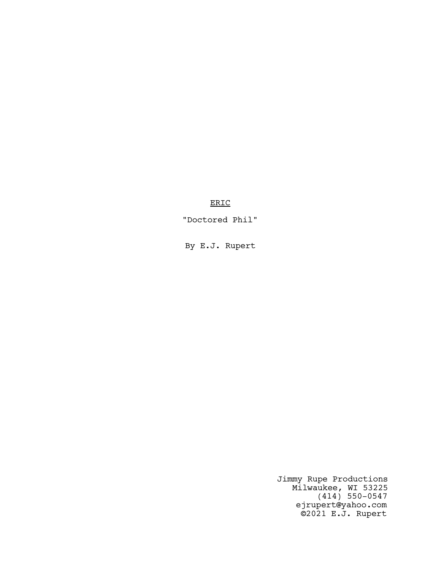ERIC

"Doctored Phil"

By E.J. Rupert

Jimmy Rupe Productions Milwaukee, WI 53225 (414) 550-0547 ejrupert@yahoo.com ©2021 E.J. Rupert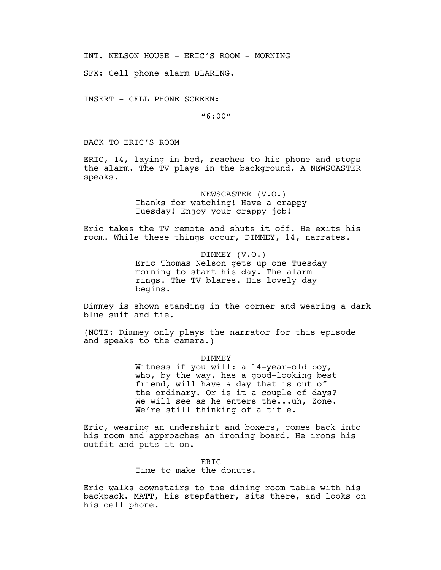INT. NELSON HOUSE - ERIC'S ROOM - MORNING

SFX: Cell phone alarm BLARING.

INSERT - CELL PHONE SCREEN:

"6:00"

BACK TO ERIC'S ROOM

ERIC, 14, laying in bed, reaches to his phone and stops the alarm. The TV plays in the background. A NEWSCASTER speaks.

> NEWSCASTER (V.O.) Thanks for watching! Have a crappy Tuesday! Enjoy your crappy job!

Eric takes the TV remote and shuts it off. He exits his room. While these things occur, DIMMEY, 14, narrates.

> DIMMEY (V.O.) Eric Thomas Nelson gets up one Tuesday morning to start his day. The alarm rings. The TV blares. His lovely day begins.

Dimmey is shown standing in the corner and wearing a dark blue suit and tie.

(NOTE: Dimmey only plays the narrator for this episode and speaks to the camera.)

DIMMEY

Witness if you will: a 14-year-old boy, who, by the way, has a good-looking best friend, will have a day that is out of the ordinary. Or is it a couple of days? We will see as he enters the...uh, Zone. We're still thinking of a title.

Eric, wearing an undershirt and boxers, comes back into his room and approaches an ironing board. He irons his outfit and puts it on.

> ER<sub>TC</sub> Time to make the donuts.

Eric walks downstairs to the dining room table with his backpack. MATT, his stepfather, sits there, and looks on his cell phone.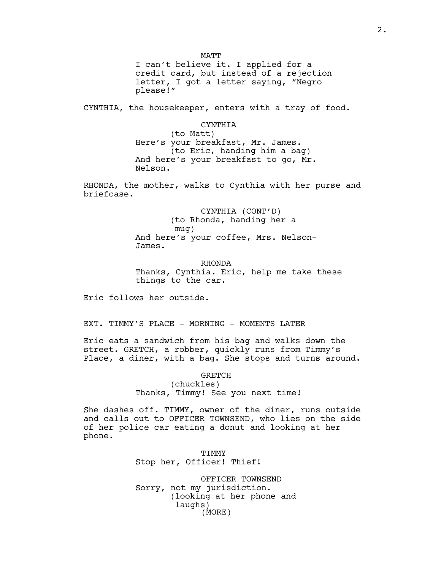MATT I can't believe it. I applied for a credit card, but instead of a rejection letter, I got a letter saying, "Negro please!"

CYNTHIA, the housekeeper, enters with a tray of food.

CYNTHIA (to Matt) Here's your breakfast, Mr. James. (to Eric, handing him a bag) And here's your breakfast to go, Mr. Nelson.

RHONDA, the mother, walks to Cynthia with her purse and briefcase.

> CYNTHIA (CONT'D) (to Rhonda, handing her a mug) And here's your coffee, Mrs. Nelson-James.

RHONDA Thanks, Cynthia. Eric, help me take these things to the car.

Eric follows her outside.

EXT. TIMMY'S PLACE - MORNING - MOMENTS LATER

Eric eats a sandwich from his bag and walks down the street. GRETCH, a robber, quickly runs from Timmy's Place, a diner, with a bag. She stops and turns around.

> GRETCH (chuckles) Thanks, Timmy! See you next time!

She dashes off. TIMMY, owner of the diner, runs outside and calls out to OFFICER TOWNSEND, who lies on the side of her police car eating a donut and looking at her phone.

> TIMMY Stop her, Officer! Thief!

OFFICER TOWNSEND Sorry, not my jurisdiction. (looking at her phone and laughs) (MORE)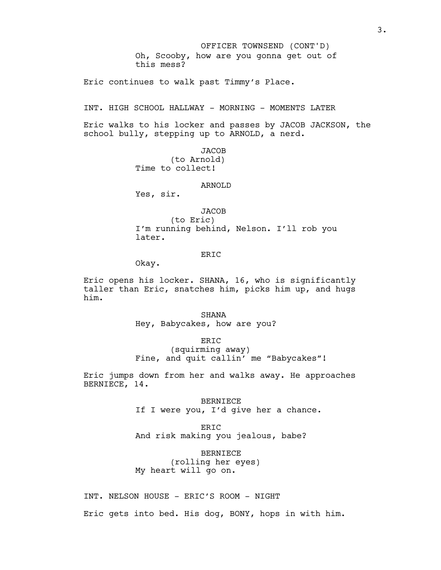Oh, Scooby, how are you gonna get out of this mess? OFFICER TOWNSEND (CONT'D)

Eric continues to walk past Timmy's Place.

INT. HIGH SCHOOL HALLWAY - MORNING - MOMENTS LATER

Eric walks to his locker and passes by JACOB JACKSON, the school bully, stepping up to ARNOLD, a nerd.

> JACOB (to Arnold) Time to collect!

#### ARNOLD

Yes, sir.

**JACOB** (to Eric)

I'm running behind, Nelson. I'll rob you later.

# ERIC

Okay.

Eric opens his locker. SHANA, 16, who is significantly taller than Eric, snatches him, picks him up, and hugs him.

> SHANA Hey, Babycakes, how are you?

> > ERIC

(squirming away) Fine, and quit callin' me "Babycakes"!

Eric jumps down from her and walks away. He approaches BERNIECE, 14.

> BERNIECE If I were you, I'd give her a chance.

ERIC And risk making you jealous, babe?

BERNIECE (rolling her eyes) My heart will go on.

INT. NELSON HOUSE - ERIC'S ROOM - NIGHT

Eric gets into bed. His dog, BONY, hops in with him.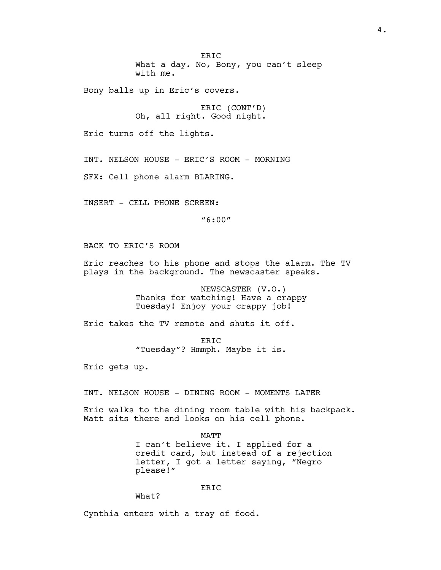ER<sub>TC</sub> What a day. No, Bony, you can't sleep with me.

Bony balls up in Eric's covers.

ERIC (CONT'D) Oh, all right. Good night.

Eric turns off the lights.

INT. NELSON HOUSE - ERIC'S ROOM - MORNING

SFX: Cell phone alarm BLARING.

INSERT - CELL PHONE SCREEN:

"6:00"

BACK TO ERIC'S ROOM

Eric reaches to his phone and stops the alarm. The TV plays in the background. The newscaster speaks.

> NEWSCASTER (V.O.) Thanks for watching! Have a crappy Tuesday! Enjoy your crappy job!

Eric takes the TV remote and shuts it off.

ER<sub>TC</sub> "Tuesday"? Hmmph. Maybe it is.

Eric gets up.

INT. NELSON HOUSE - DINING ROOM - MOMENTS LATER

Eric walks to the dining room table with his backpack. Matt sits there and looks on his cell phone.

> MATT I can't believe it. I applied for a credit card, but instead of a rejection letter, I got a letter saying, "Negro please!"

## ERIC

What?

Cynthia enters with a tray of food.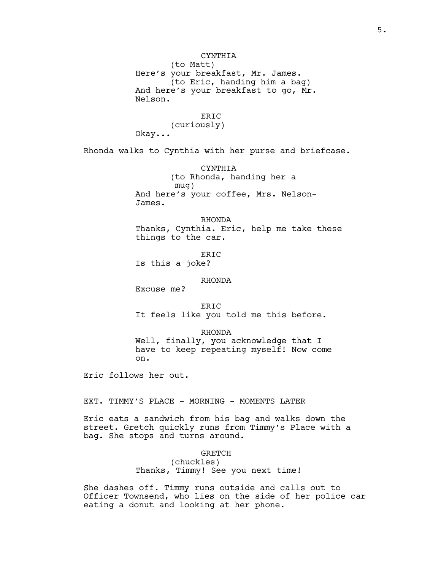CYNTHIA (to Matt) Here's your breakfast, Mr. James. (to Eric, handing him a bag) And here's your breakfast to go, Mr. Nelson.

> ERIC (curiously)

Okay...

Rhonda walks to Cynthia with her purse and briefcase.

CYNTHIA (to Rhonda, handing her a mug) And here's your coffee, Mrs. Nelson-James.

RHONDA Thanks, Cynthia. Eric, help me take these things to the car.

ERIC Is this a joke?

# RHONDA

Excuse me?

ER<sub>TC</sub> It feels like you told me this before.

# RHONDA

Well, finally, you acknowledge that I have to keep repeating myself! Now come on.

Eric follows her out.

EXT. TIMMY'S PLACE - MORNING - MOMENTS LATER

Eric eats a sandwich from his bag and walks down the street. Gretch quickly runs from Timmy's Place with a bag. She stops and turns around.

# GRETCH

(chuckles) Thanks, Timmy! See you next time!

She dashes off. Timmy runs outside and calls out to Officer Townsend, who lies on the side of her police car eating a donut and looking at her phone.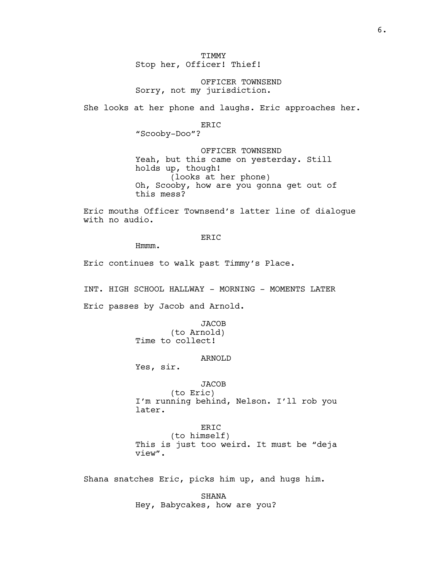TIMMY Stop her, Officer! Thief!

OFFICER TOWNSEND Sorry, not my jurisdiction.

She looks at her phone and laughs. Eric approaches her.

ERIC

"Scooby-Doo"?

OFFICER TOWNSEND Yeah, but this came on yesterday. Still holds up, though! (looks at her phone) Oh, Scooby, how are you gonna get out of this mess?

Eric mouths Officer Townsend's latter line of dialogue with no audio.

ERIC

Hmmm.

Eric continues to walk past Timmy's Place.

INT. HIGH SCHOOL HALLWAY - MORNING - MOMENTS LATER

Eric passes by Jacob and Arnold.

**JACOB** (to Arnold) Time to collect!

## ARNOLD

Yes, sir.

## **JACOB**

(to Eric) I'm running behind, Nelson. I'll rob you later.

# ERIC

(to himself) This is just too weird. It must be "deja view".

Shana snatches Eric, picks him up, and hugs him.

SHANA Hey, Babycakes, how are you?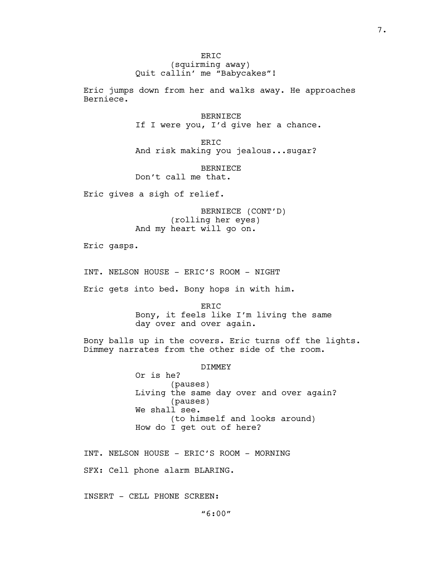ER<sub>TC</sub> (squirming away) Quit callin' me "Babycakes"!

Eric jumps down from her and walks away. He approaches Berniece.

> BERNIECE If I were you, I'd give her a chance.

ERIC And risk making you jealous...sugar?

BERNIECE Don't call me that.

Eric gives a sigh of relief.

BERNIECE (CONT'D) (rolling her eyes) And my heart will go on.

Eric gasps.

INT. NELSON HOUSE - ERIC'S ROOM - NIGHT

Eric gets into bed. Bony hops in with him.

ERIC Bony, it feels like I'm living the same day over and over again.

Bony balls up in the covers. Eric turns off the lights. Dimmey narrates from the other side of the room.

## DIMMEY

Or is he? (pauses) Living the same day over and over again? (pauses) We shall see. (to himself and looks around) How do I get out of here?

INT. NELSON HOUSE - ERIC'S ROOM - MORNING SFX: Cell phone alarm BLARING.

INSERT - CELL PHONE SCREEN: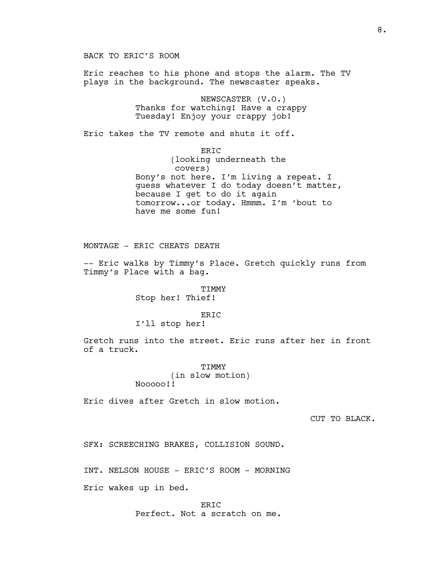BACK TO ERIC'S ROOM Eric reaches to his phone and stops the alarm. The TV plays in the background. The newscaster speaks. NEWSCASTER (V.O.) Thanks for watching! Have a crappy Tuesday! Enjoy your crappy job! Eric takes the TV remote and shuts it off. ERIC (looking underneath the covers) Bony's not here. I'm living a repeat. I guess whatever I do today doesn't matter, because I get to do it again tomorrow...or today. Hmmm. I'm 'bout to have me some fun! MONTAGE - ERIC CHEATS DEATH

-- Eric walks by Timmy's Place. Gretch quickly runs from Timmy's Place with a bag.

# TIMMY Stop her! Thief!

## ERIC

## I'll stop her!

Gretch runs into the street. Eric runs after her in front of a truck.

> TIMMY (in slow motion) Nooooo!!

Eric dives after Gretch in slow motion.

CUT TO BLACK.

SFX: SCREECHING BRAKES, COLLISION SOUND.

INT. NELSON HOUSE - ERIC'S ROOM - MORNING

Eric wakes up in bed.

ERIC Perfect. Not a scratch on me.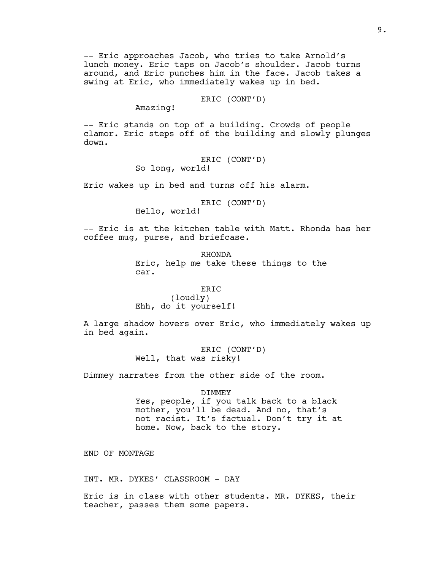-- Eric approaches Jacob, who tries to take Arnold's lunch money. Eric taps on Jacob's shoulder. Jacob turns around, and Eric punches him in the face. Jacob takes a swing at Eric, who immediately wakes up in bed.

# ERIC (CONT'D)

Amazing!

-- Eric stands on top of a building. Crowds of people clamor. Eric steps off of the building and slowly plunges down.

> ERIC (CONT'D) So long, world!

Eric wakes up in bed and turns off his alarm.

ERIC (CONT'D)

Hello, world!

-- Eric is at the kitchen table with Matt. Rhonda has her coffee mug, purse, and briefcase.

> RHONDA Eric, help me take these things to the car.

ERIC (loudly) Ehh, do it yourself!

A large shadow hovers over Eric, who immediately wakes up in bed again.

> ERIC (CONT'D) Well, that was risky!

Dimmey narrates from the other side of the room.

#### DIMMEY

Yes, people, if you talk back to a black mother, you'll be dead. And no, that's not racist. It's factual. Don't try it at home. Now, back to the story.

END OF MONTAGE

INT. MR. DYKES' CLASSROOM - DAY

Eric is in class with other students. MR. DYKES, their teacher, passes them some papers.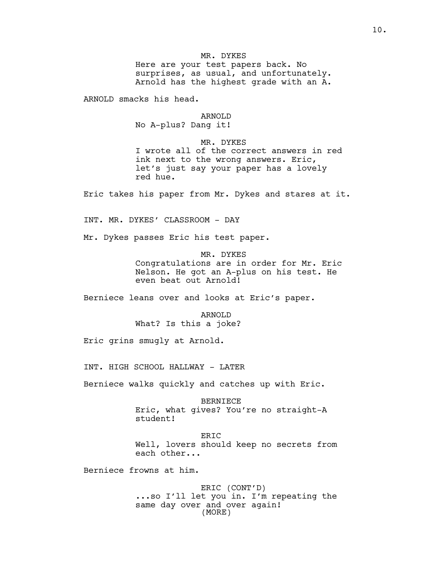# MR. DYKES

Here are your test papers back. No surprises, as usual, and unfortunately. Arnold has the highest grade with an A.

ARNOLD smacks his head.

## ARNOLD

No A-plus? Dang it!

# MR. DYKES

I wrote all of the correct answers in red ink next to the wrong answers. Eric, let's just say your paper has a lovely red hue.

Eric takes his paper from Mr. Dykes and stares at it.

INT. MR. DYKES' CLASSROOM - DAY

Mr. Dykes passes Eric his test paper.

MR. DYKES Congratulations are in order for Mr. Eric Nelson. He got an A-plus on his test. He even beat out Arnold!

Berniece leans over and looks at Eric's paper.

ARNOLD What? Is this a joke?

Eric grins smugly at Arnold.

INT. HIGH SCHOOL HALLWAY - LATER

Berniece walks quickly and catches up with Eric.

BERNIECE Eric, what gives? You're no straight-A student!

ERIC

Well, lovers should keep no secrets from each other...

Berniece frowns at him.

ERIC (CONT'D) ...so I'll let you in. I'm repeating the same day over and over again! (MORE)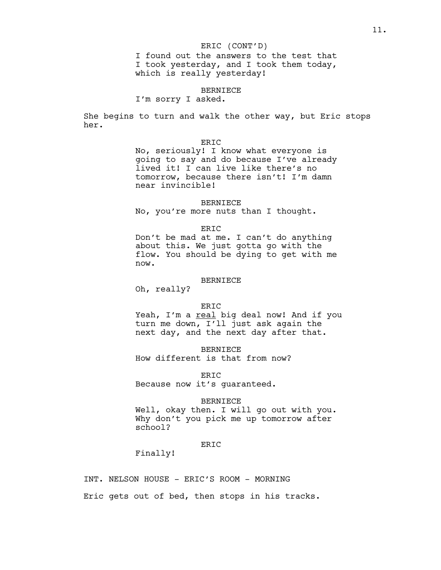## ERIC (CONT'D)

I found out the answers to the test that I took yesterday, and I took them today, which is really yesterday!

## BERNIECE

I'm sorry I asked.

She begins to turn and walk the other way, but Eric stops her.

## ERIC

No, seriously! I know what everyone is going to say and do because I've already lived it! I can live like there's no tomorrow, because there isn't! I'm damn near invincible!

BERNIECE No, you're more nuts than I thought.

#### ER<sub>TC</sub>

Don't be mad at me. I can't do anything about this. We just gotta go with the flow. You should be dying to get with me now.

## BERNIECE

Oh, really?

#### ERIC

Yeah, I'm a real big deal now! And if you turn me down, I'll just ask again the next day, and the next day after that.

BERNIECE How different is that from now?

ERIC Because now it's guaranteed.

#### BERNIECE

Well, okay then. I will go out with you. Why don't you pick me up tomorrow after school?

# ERIC

Finally!

INT. NELSON HOUSE - ERIC'S ROOM - MORNING

Eric gets out of bed, then stops in his tracks.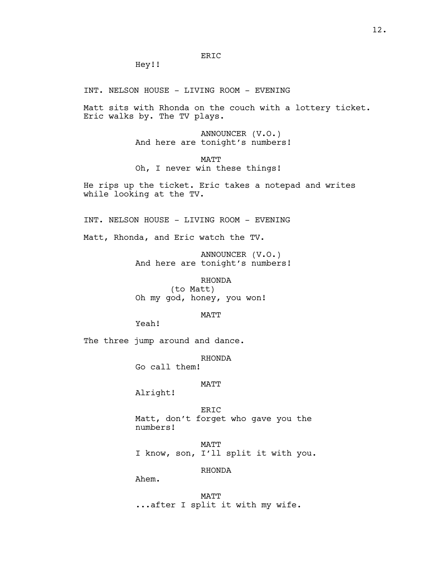Hey!!

INT. NELSON HOUSE - LIVING ROOM - EVENING

Matt sits with Rhonda on the couch with a lottery ticket. Eric walks by. The TV plays.

> ANNOUNCER (V.O.) And here are tonight's numbers!

MATT Oh, I never win these things!

He rips up the ticket. Eric takes a notepad and writes while looking at the TV.

INT. NELSON HOUSE - LIVING ROOM - EVENING

Matt, Rhonda, and Eric watch the TV.

ANNOUNCER (V.O.) And here are tonight's numbers!

RHONDA (to Matt) Oh my god, honey, you won!

MATT

Yeah!

The three jump around and dance.

RHONDA

Go call them!

## MATT

Alright!

ERIC Matt, don't forget who gave you the numbers!

MATT I know, son, I'll split it with you.

RHONDA

Ahem.

MATT ...after I split it with my wife.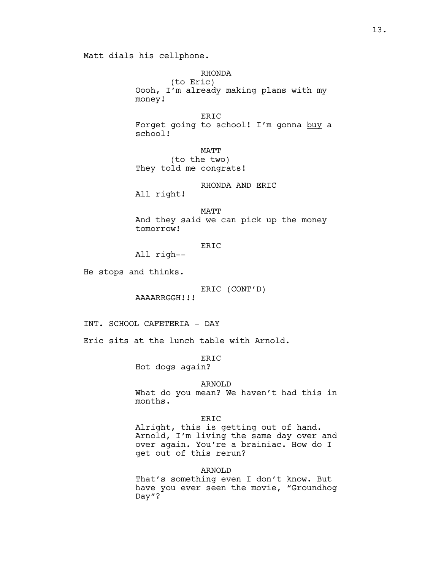Matt dials his cellphone.

RHONDA (to Eric) Oooh, I'm already making plans with my money!

ERIC Forget going to school! I'm gonna buy a school!

MATT (to the two) They told me congrats!

RHONDA AND ERIC

All right!

MATT And they said we can pick up the money tomorrow!

ERIC

All righ--

He stops and thinks.

ERIC (CONT'D)

AAAARRGGH!!!

INT. SCHOOL CAFETERIA - DAY

Eric sits at the lunch table with Arnold.

ERIC

Hot dogs again?

# ARNOLD

What do you mean? We haven't had this in months.

# ERIC

Alright, this is getting out of hand. Arnold, I'm living the same day over and over again. You're a brainiac. How do I get out of this rerun?

# ARNOLD

That's something even I don't know. But have you ever seen the movie, "Groundhog Day"?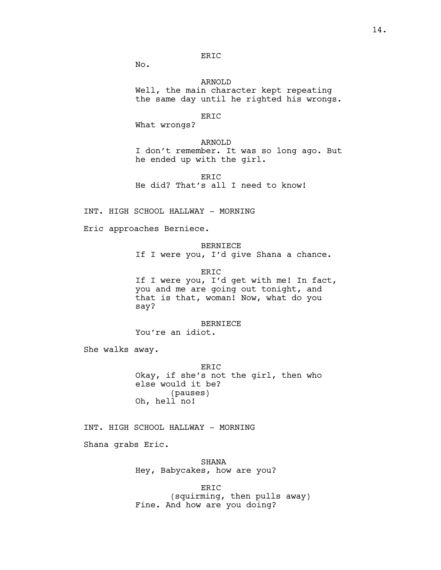# ERIC

No.

ARNOLD Well, the main character kept repeating the same day until he righted his wrongs.

#### ERIC

What wrongs?

ARNOLD

I don't remember. It was so long ago. But he ended up with the girl.

ERIC He did? That's all I need to know!

INT. HIGH SCHOOL HALLWAY - MORNING

Eric approaches Berniece.

BERNIECE If I were you, I'd give Shana a chance.

ERIC If I were you, I'd get with me! In fact, you and me are going out tonight, and that is that, woman! Now, what do you say?

BERNIECE You're an idiot.

She walks away.

ERIC Okay, if she's not the girl, then who else would it be? (pauses) Oh, hell no!

INT. HIGH SCHOOL HALLWAY - MORNING

Shana grabs Eric.

SHANA Hey, Babycakes, how are you?

ERIC (squirming, then pulls away) Fine. And how are you doing?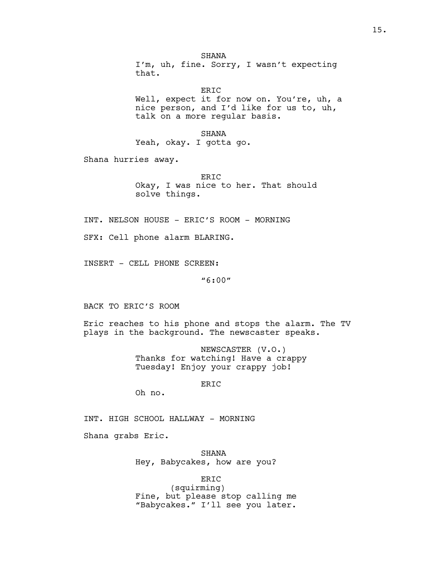**SHANA** I'm, uh, fine. Sorry, I wasn't expecting that.

ERIC Well, expect it for now on. You're, uh, a nice person, and I'd like for us to, uh, talk on a more regular basis.

SHANA Yeah, okay. I gotta go.

Shana hurries away.

ERIC Okay, I was nice to her. That should solve things.

INT. NELSON HOUSE - ERIC'S ROOM - MORNING

SFX: Cell phone alarm BLARING.

INSERT - CELL PHONE SCREEN:

"6:00"

BACK TO ERIC'S ROOM

Eric reaches to his phone and stops the alarm. The TV plays in the background. The newscaster speaks.

> NEWSCASTER (V.O.) Thanks for watching! Have a crappy Tuesday! Enjoy your crappy job!

> > ERIC

Oh no.

INT. HIGH SCHOOL HALLWAY - MORNING

Shana grabs Eric.

SHANA Hey, Babycakes, how are you?

ERIC

(squirming) Fine, but please stop calling me "Babycakes." I'll see you later.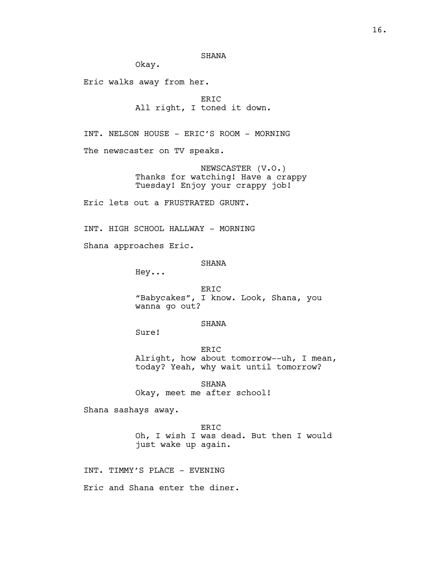SHANA

Okay.

Eric walks away from her.

ERIC All right, I toned it down.

INT. NELSON HOUSE - ERIC'S ROOM - MORNING

The newscaster on TV speaks.

NEWSCASTER (V.O.) Thanks for watching! Have a crappy Tuesday! Enjoy your crappy job!

Eric lets out a FRUSTRATED GRUNT.

INT. HIGH SCHOOL HALLWAY - MORNING

Shana approaches Eric.

# **SHANA**

Hey...

ERIC "Babycakes", I know. Look, Shana, you wanna go out?

# SHANA

Sure!

ERIC Alright, how about tomorrow--uh, I mean, today? Yeah, why wait until tomorrow?

SHANA Okay, meet me after school!

Shana sashays away.

ERIC Oh, I wish I was dead. But then I would just wake up again.

INT. TIMMY'S PLACE - EVENING

Eric and Shana enter the diner.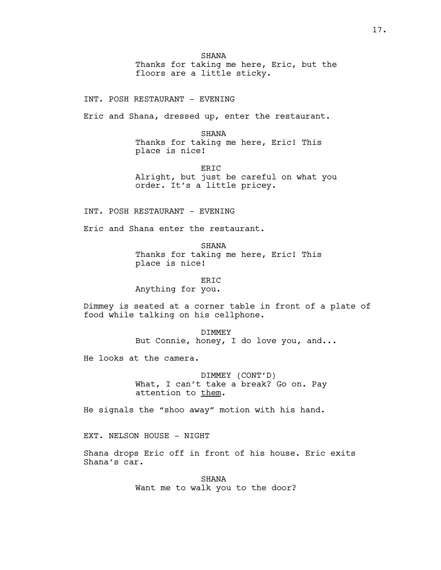SHANA Thanks for taking me here, Eric, but the floors are a little sticky.

INT. POSH RESTAURANT - EVENING

Eric and Shana, dressed up, enter the restaurant.

SHANA Thanks for taking me here, Eric! This place is nice!

ERIC Alright, but just be careful on what you order. It's a little pricey.

INT. POSH RESTAURANT - EVENING

Eric and Shana enter the restaurant.

SHANA Thanks for taking me here, Eric! This place is nice!

ERIC Anything for you.

Dimmey is seated at a corner table in front of a plate of food while talking on his cellphone.

> DIMMEY But Connie, honey, I do love you, and...

He looks at the camera.

DIMMEY (CONT'D) What, I can't take a break? Go on. Pay attention to them.

He signals the "shoo away" motion with his hand.

EXT. NELSON HOUSE - NIGHT

Shana drops Eric off in front of his house. Eric exits Shana's car.

> SHANA Want me to walk you to the door?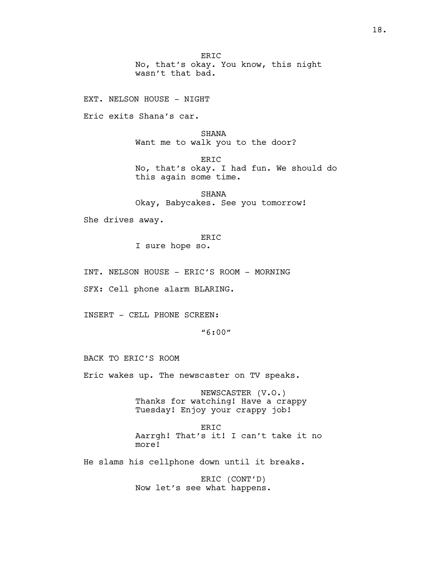ER<sub>TC</sub> No, that's okay. You know, this night wasn't that bad.

EXT. NELSON HOUSE - NIGHT

Eric exits Shana's car.

SHANA Want me to walk you to the door?

ERIC No, that's okay. I had fun. We should do this again some time.

SHANA Okay, Babycakes. See you tomorrow!

She drives away.

ERIC I sure hope so.

INT. NELSON HOUSE - ERIC'S ROOM - MORNING

SFX: Cell phone alarm BLARING.

INSERT - CELL PHONE SCREEN:

"6:00"

BACK TO ERIC'S ROOM

Eric wakes up. The newscaster on TV speaks.

NEWSCASTER (V.O.) Thanks for watching! Have a crappy Tuesday! Enjoy your crappy job!

ERIC Aarrgh! That's it! I can't take it no more!

He slams his cellphone down until it breaks.

ERIC (CONT'D) Now let's see what happens.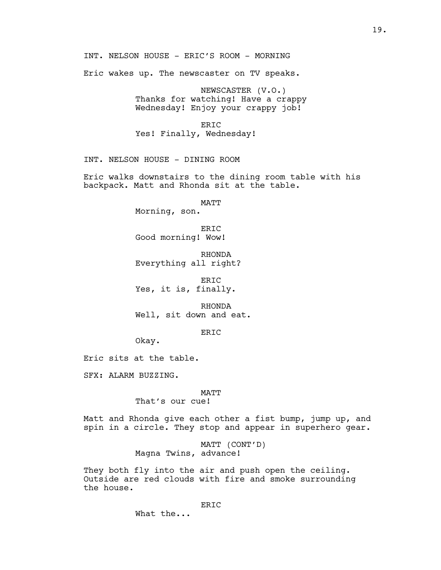INT. NELSON HOUSE - ERIC'S ROOM - MORNING

Eric wakes up. The newscaster on TV speaks.

NEWSCASTER (V.O.) Thanks for watching! Have a crappy Wednesday! Enjoy your crappy job!

## ERIC

Yes! Finally, Wednesday!

INT. NELSON HOUSE - DINING ROOM

Eric walks downstairs to the dining room table with his backpack. Matt and Rhonda sit at the table.

MATT

Morning, son.

ER<sub>IC</sub> Good morning! Wow!

RHONDA Everything all right?

ERIC Yes, it is, finally.

RHONDA Well, sit down and eat.

ERIC

Okay.

Eric sits at the table.

SFX: ALARM BUZZING.

# MATT

That's our cue!

Matt and Rhonda give each other a fist bump, jump up, and spin in a circle. They stop and appear in superhero gear.

> MATT (CONT'D) Magna Twins, advance!

They both fly into the air and push open the ceiling. Outside are red clouds with fire and smoke surrounding the house.

What the...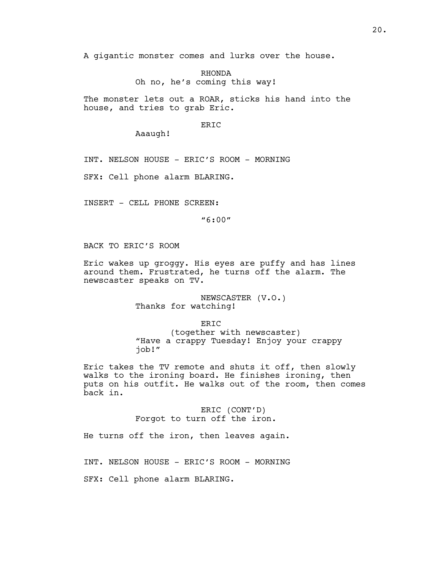A gigantic monster comes and lurks over the house.

RHONDA Oh no, he's coming this way!

The monster lets out a ROAR, sticks his hand into the house, and tries to grab Eric.

## ERIC

Aaaugh!

INT. NELSON HOUSE - ERIC'S ROOM - MORNING

SFX: Cell phone alarm BLARING.

INSERT - CELL PHONE SCREEN:

"6:00"

BACK TO ERIC'S ROOM

Eric wakes up groggy. His eyes are puffy and has lines around them. Frustrated, he turns off the alarm. The newscaster speaks on TV.

> NEWSCASTER (V.O.) Thanks for watching!

> > ERIC

(together with newscaster) "Have a crappy Tuesday! Enjoy your crappy job!"

Eric takes the TV remote and shuts it off, then slowly walks to the ironing board. He finishes ironing, then puts on his outfit. He walks out of the room, then comes back in.

> ERIC (CONT'D) Forgot to turn off the iron.

He turns off the iron, then leaves again.

INT. NELSON HOUSE - ERIC'S ROOM - MORNING

SFX: Cell phone alarm BLARING.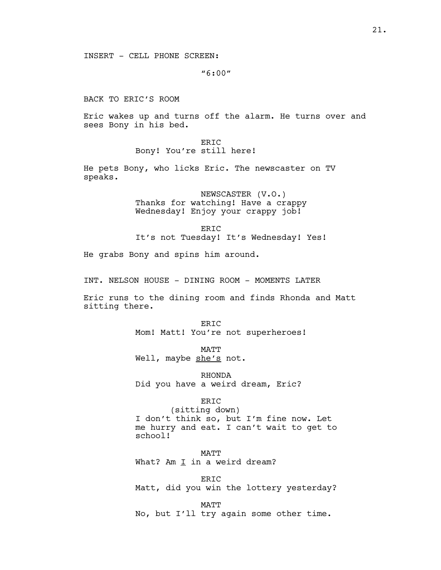INSERT - CELL PHONE SCREEN:

"6:00"

BACK TO ERIC'S ROOM

Eric wakes up and turns off the alarm. He turns over and sees Bony in his bed.

> ERIC Bony! You're still here!

He pets Bony, who licks Eric. The newscaster on TV speaks.

> NEWSCASTER (V.O.) Thanks for watching! Have a crappy Wednesday! Enjoy your crappy job!

ER<sub>IC</sub> It's not Tuesday! It's Wednesday! Yes!

He grabs Bony and spins him around.

INT. NELSON HOUSE - DINING ROOM - MOMENTS LATER

Eric runs to the dining room and finds Rhonda and Matt sitting there.

> ERIC Mom! Matt! You're not superheroes!

MATT Well, maybe she's not.

RHONDA Did you have a weird dream, Eric?

ERIC

(sitting down) I don't think so, but I'm fine now. Let me hurry and eat. I can't wait to get to school!

MATT What? Am  $I$  in a weird dream?

ERIC Matt, did you win the lottery yesterday?

MATT No, but I'll try again some other time.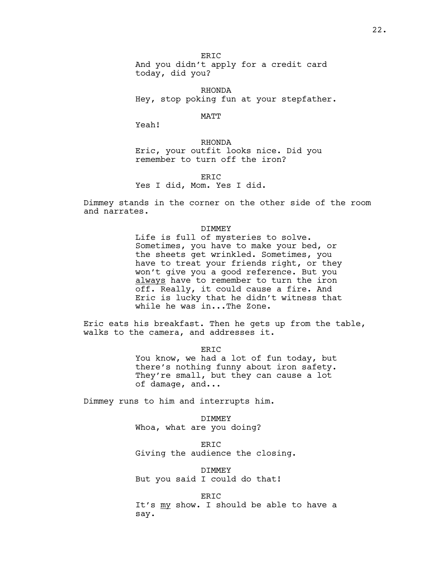ER<sub>IC</sub> And you didn't apply for a credit card today, did you?

RHONDA Hey, stop poking fun at your stepfather.

MATT

Yeah!

RHONDA Eric, your outfit looks nice. Did you remember to turn off the iron?

ER<sub>TC</sub> Yes I did, Mom. Yes I did.

Dimmey stands in the corner on the other side of the room and narrates.

#### DIMMEY

Life is full of mysteries to solve. Sometimes, you have to make your bed, or the sheets get wrinkled. Sometimes, you have to treat your friends right, or they won't give you a good reference. But you always have to remember to turn the iron off. Really, it could cause a fire. And Eric is lucky that he didn't witness that while he was in...The Zone.

Eric eats his breakfast. Then he gets up from the table, walks to the camera, and addresses it.

> ERIC You know, we had a lot of fun today, but there's nothing funny about iron safety. They're small, but they can cause a lot of damage, and...

Dimmey runs to him and interrupts him.

DIMMEY Whoa, what are you doing?

ERIC Giving the audience the closing.

DIMMEY But you said I could do that!

ERIC It's my show. I should be able to have a say.